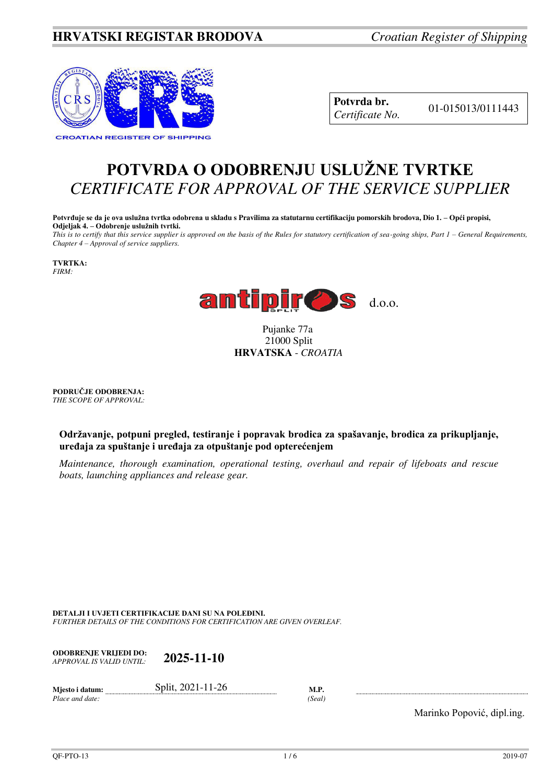## **HRVATSKI REGISTAR BRODOVA** *Croatian Register of Shipping*



**Potvrda br.** 01-015013/0111443 *Certificate No.* 

# **POTVRDA O ODOBRENJU USLUŽNE TVRTKE** *CERTIFICATE FOR APPROVAL OF THE SERVICE SUPPLIER*

**Potvrđuje se da je ova uslužna tvrtka odobrena u skladu s Pravilima za statutarnu certifikaciju pomorskih brodova, Dio 1. – Opći propisi, Odjeljak 4. – Odobrenje uslužnih tvrtki.**

*This is to certify that this service supplier is approved on the basis of the Rules for statutory certification of sea-going ships, Part 1 – General Requirements, Chapter 4 – Approval of service suppliers.* 

**TVRTKA:** *FIRM:*



 Pujanke 77a 21000 Split **HRVATSKA** - *CROATIA*

**PODRUČJE ODOBRENJA:** *THE SCOPE OF APPROVAL:* 

**Održavanje, potpuni pregled, testiranje i popravak brodica za spašavanje, brodica za prikupljanje, uređaja za spuštanje i uređaja za otpuštanje pod opterećenjem**

*Maintenance, thorough examination, operational testing, overhaul and repair of lifeboats and rescue boats, launching appliances and release gear.*

**DETALJI I UVJETI CERTIFIKACIJE DANI SU NA POLEĐINI.** *FURTHER DETAILS OF THE CONDITIONS FOR CERTIFICATION ARE GIVEN OVERLEAF.* 

**ODOBRENJE VRIJEDI DO:**  *APPROVAL IS VALID UNTIL:* **2025-11-10**

 $Place$  and date:

**Mjesto i datum: Split, 2021-11-26 M.P.** *M.P. Place and date: (Seal)* 

Marinko Popović, dipl.ing.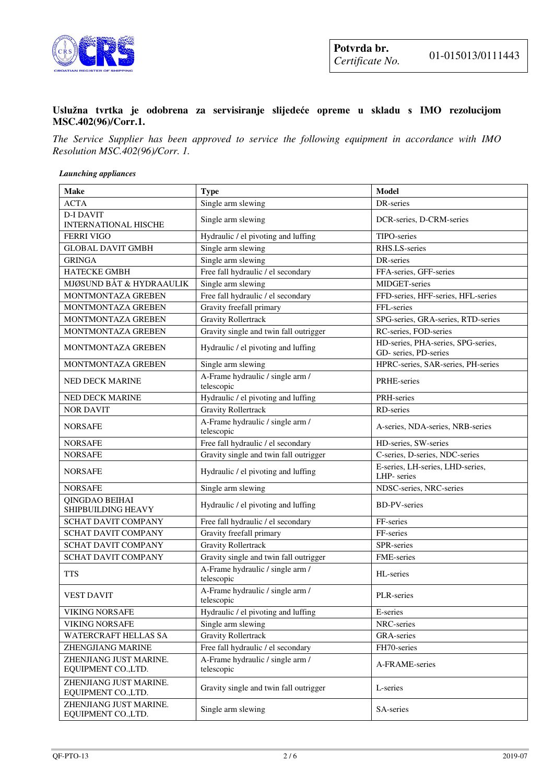

#### **Uslužna tvrtka je odobrena za servisiranje slijedeće opreme u skladu s IMO rezolucijom MSC.402(96)/Corr.1.**

*The Service Supplier has been approved to service the following equipment in accordance with IMO Resolution MSC.402(96)/Corr. 1.*

*Launching appliances* 

| <b>Make</b>                                     | <b>Type</b>                                    | <b>Model</b>                                                |
|-------------------------------------------------|------------------------------------------------|-------------------------------------------------------------|
| <b>ACTA</b>                                     | Single arm slewing                             | DR-series                                                   |
| <b>D-I DAVIT</b><br><b>INTERNATIONAL HISCHE</b> | Single arm slewing                             | DCR-series, D-CRM-series                                    |
| <b>FERRI VIGO</b>                               | Hydraulic / el pivoting and luffing            | TIPO-series                                                 |
| <b>GLOBAL DAVIT GMBH</b>                        | Single arm slewing                             | RHS.LS-series                                               |
| <b>GRINGA</b>                                   | Single arm slewing                             | DR-series                                                   |
| <b>HATECKE GMBH</b>                             | Free fall hydraulic / el secondary             | FFA-series, GFF-series                                      |
| MJØSUND BÅT & HYDRAAULIK                        | Single arm slewing                             | MIDGET-series                                               |
| MONTMONTAZA GREBEN                              | Free fall hydraulic / el secondary             | FFD-series, HFF-series, HFL-series                          |
| MONTMONTAZA GREBEN                              | Gravity freefall primary                       | FFL-series                                                  |
| MONTMONTAZA GREBEN                              | <b>Gravity Rollertrack</b>                     | SPG-series, GRA-series, RTD-series                          |
| MONTMONTAZA GREBEN                              | Gravity single and twin fall outrigger         | RC-series, FOD-series                                       |
| MONTMONTAZA GREBEN                              | Hydraulic / el pivoting and luffing            | HD-series, PHA-series, SPG-series,<br>GD- series, PD-series |
| MONTMONTAZA GREBEN                              | Single arm slewing                             | HPRC-series, SAR-series, PH-series                          |
| <b>NED DECK MARINE</b>                          | A-Frame hydraulic / single arm /<br>telescopic | PRHE-series                                                 |
| <b>NED DECK MARINE</b>                          | Hydraulic / el pivoting and luffing            | PRH-series                                                  |
| <b>NOR DAVIT</b>                                | <b>Gravity Rollertrack</b>                     | RD-series                                                   |
| <b>NORSAFE</b>                                  | A-Frame hydraulic / single arm /<br>telescopic | A-series, NDA-series, NRB-series                            |
| <b>NORSAFE</b>                                  | Free fall hydraulic / el secondary             | HD-series, SW-series                                        |
| <b>NORSAFE</b>                                  | Gravity single and twin fall outrigger         | C-series, D-series, NDC-series                              |
| <b>NORSAFE</b>                                  | Hydraulic / el pivoting and luffing            | E-series, LH-series, LHD-series,<br>LHP-series              |
| <b>NORSAFE</b>                                  | Single arm slewing                             | NDSC-series, NRC-series                                     |
| QINGDAO BEIHAI<br>SHIPBUILDING HEAVY            | Hydraulic / el pivoting and luffing            | <b>BD-PV-series</b>                                         |
| SCHAT DAVIT COMPANY                             | Free fall hydraulic / el secondary             | FF-series                                                   |
| SCHAT DAVIT COMPANY                             | Gravity freefall primary                       | FF-series                                                   |
| SCHAT DAVIT COMPANY                             | <b>Gravity Rollertrack</b>                     | SPR-series                                                  |
| <b>SCHAT DAVIT COMPANY</b>                      | Gravity single and twin fall outrigger         | FME-series                                                  |
| <b>TTS</b>                                      | A-Frame hydraulic / single arm /<br>telescopic | HL-series                                                   |
| <b>VEST DAVIT</b>                               | A-Frame hydraulic / single arm /<br>telescopic | PLR-series                                                  |
| <b>VIKING NORSAFE</b>                           | Hydraulic / el pivoting and luffing            | E-series                                                    |
| <b>VIKING NORSAFE</b>                           | Single arm slewing                             | NRC-series                                                  |
| WATERCRAFT HELLAS SA                            | <b>Gravity Rollertrack</b>                     | GRA-series                                                  |
| ZHENGJIANG MARINE                               | Free fall hydraulic / el secondary             | FH70-series                                                 |
| ZHENJIANG JUST MARINE.<br>EQUIPMENT CO., LTD.   | A-Frame hydraulic / single arm /<br>telescopic | A-FRAME-series                                              |
| ZHENJIANG JUST MARINE.<br>EQUIPMENT CO., LTD.   | Gravity single and twin fall outrigger         | L-series                                                    |
| ZHENJIANG JUST MARINE.<br>EQUIPMENT CO., LTD.   | Single arm slewing                             | SA-series                                                   |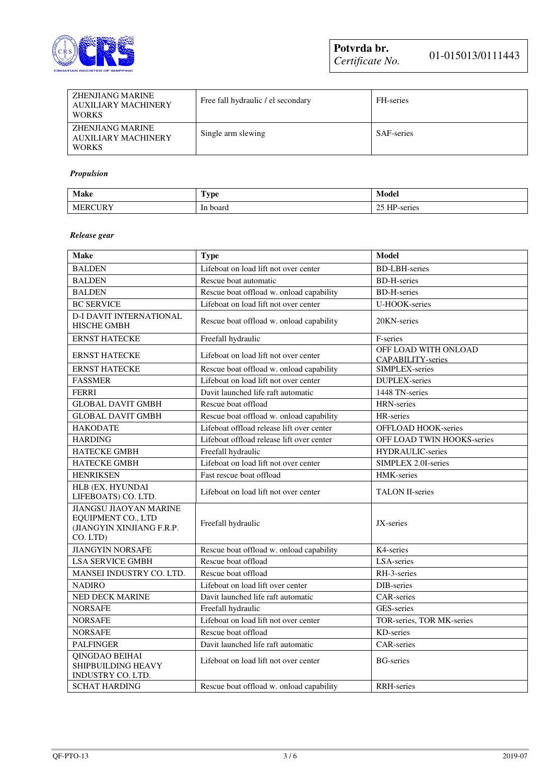

| ZHENJIANG MARINE<br><b>AUXILIARY MACHINERY</b><br><b>WORKS</b> | Free fall hydraulic / el secondary | FH-series         |
|----------------------------------------------------------------|------------------------------------|-------------------|
| ZHENJIANG MARINE<br>AUXILIARY MACHINERY<br><b>WORKS</b>        | Single arm slewing                 | <b>SAF-series</b> |

#### *Propulsion*

| Make               | <b>CENT</b><br><b>ype</b> | Model                     |
|--------------------|---------------------------|---------------------------|
| JRY<br><b>MERC</b> | board<br>In<br>.          | HP<br>ΩE<br>-series<br>رے |

#### *Release gear*

| <b>Make</b>                                                                                         | <b>Type</b>                               | <b>Model</b>                              |
|-----------------------------------------------------------------------------------------------------|-------------------------------------------|-------------------------------------------|
| <b>BALDEN</b>                                                                                       | Lifeboat on load lift not over center     | <b>BD-LBH-series</b>                      |
| <b>BALDEN</b>                                                                                       | Rescue boat automatic                     | <b>BD-H-series</b>                        |
| <b>BALDEN</b>                                                                                       | Rescue boat offload w. onload capability  | <b>BD-H-series</b>                        |
| <b>BC SERVICE</b>                                                                                   | Lifeboat on load lift not over center     | U-HOOK-series                             |
| <b>D-I DAVIT INTERNATIONAL</b><br>HISCHE GMBH                                                       | Rescue boat offload w. onload capability  | 20KN-series                               |
| <b>ERNST HATECKE</b>                                                                                | Freefall hydraulic                        | F-series                                  |
| <b>ERNST HATECKE</b>                                                                                | Lifeboat on load lift not over center     | OFF LOAD WITH ONLOAD<br>CAPABILITY-series |
| <b>ERNST HATECKE</b>                                                                                | Rescue boat offload w. onload capability  | SIMPLEX-series                            |
| <b>FASSMER</b>                                                                                      | Lifeboat on load lift not over center     | <b>DUPLEX-series</b>                      |
| <b>FERRI</b>                                                                                        | Davit launched life raft automatic        | 1448 TN-series                            |
| <b>GLOBAL DAVIT GMBH</b>                                                                            | Rescue boat offload                       | HRN-series                                |
| <b>GLOBAL DAVIT GMBH</b>                                                                            | Rescue boat offload w. onload capability  | HR-series                                 |
| <b>HAKODATE</b>                                                                                     | Lifeboat offload release lift over center | <b>OFFLOAD HOOK-series</b>                |
| <b>HARDING</b>                                                                                      | Lifeboat offload release lift over center | OFF LOAD TWIN HOOKS-series                |
| <b>HATECKE GMBH</b>                                                                                 | Freefall hydraulic                        | HYDRAULIC-series                          |
| HATECKE GMBH                                                                                        | Lifeboat on load lift not over center     | SIMPLEX 2.0I-series                       |
| <b>HENRIKSEN</b>                                                                                    | Fast rescue boat offload                  | HMK-series                                |
| HLB (EX, HYUNDAI<br>LIFEBOATS) CO. LTD.                                                             | Lifeboat on load lift not over center     | <b>TALON II-series</b>                    |
| <b>JIANGSU JIAOYAN MARINE</b><br><b>EQUIPMENT CO., LTD</b><br>(JIANGYIN XINJIANG F.R.P.<br>CO. LTD) | Freefall hydraulic                        | JX-series                                 |
| <b>JIANGYIN NORSAFE</b>                                                                             | Rescue boat offload w. onload capability  | K4-series                                 |
| <b>LSA SERVICE GMBH</b>                                                                             | Rescue boat offload                       | LSA-series                                |
| MANSEI INDUSTRY CO. LTD.                                                                            | Rescue boat offload                       | RH-3-series                               |
| <b>NADIRO</b>                                                                                       | Lifeboat on load lift over center         | DIB-series                                |
| NED DECK MARINE                                                                                     | Davit launched life raft automatic        | <b>CAR-series</b>                         |
| <b>NORSAFE</b>                                                                                      | Freefall hydraulic                        | GES-series                                |
| <b>NORSAFE</b>                                                                                      | Lifeboat on load lift not over center     | TOR-series, TOR MK-series                 |
| <b>NORSAFE</b>                                                                                      | Rescue boat offload                       | KD-series                                 |
| <b>PALFINGER</b>                                                                                    | Davit launched life raft automatic        | <b>CAR-series</b>                         |
| QINGDAO BEIHAI<br><b>SHIPBUILDING HEAVY</b><br>INDUSTRY CO. LTD.                                    | Lifeboat on load lift not over center     | <b>BG-series</b>                          |
| <b>SCHAT HARDING</b>                                                                                | Rescue boat offload w. onload capability  | <b>RRH-series</b>                         |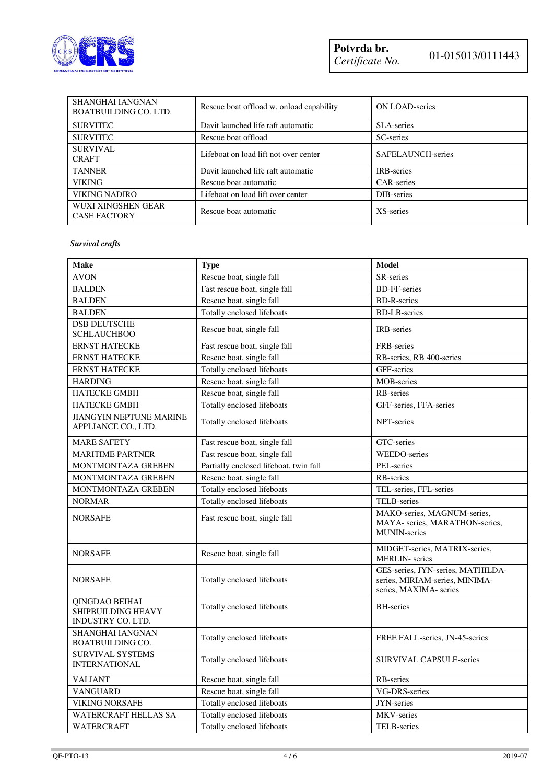

| <b>SHANGHAI IANGNAN</b><br><b>BOATBUILDING CO. LTD.</b> | Rescue boat offload w. onload capability | <b>ON LOAD-series</b>    |
|---------------------------------------------------------|------------------------------------------|--------------------------|
| <b>SURVITEC</b>                                         | Davit launched life raft automatic       | <b>SLA-series</b>        |
| <b>SURVITEC</b>                                         | Rescue boat offload                      | SC-series                |
| <b>SURVIVAL</b><br><b>CRAFT</b>                         | Lifeboat on load lift not over center    | <b>SAFELAUNCH-series</b> |
| <b>TANNER</b>                                           | Davit launched life raft automatic       | <b>IRB-series</b>        |
| <b>VIKING</b>                                           | Rescue boat automatic                    | CAR-series               |
| <b>VIKING NADIRO</b>                                    | Lifeboat on load lift over center        | DIB-series               |
| WUXI XINGSHEN GEAR<br><b>CASE FACTORY</b>               | Rescue boat automatic                    | XS-series                |

#### *Survival crafts*

| <b>Make</b>                                                      | <b>Type</b>                            | <b>Model</b>                                                                                  |
|------------------------------------------------------------------|----------------------------------------|-----------------------------------------------------------------------------------------------|
| <b>AVON</b>                                                      | Rescue boat, single fall               | SR-series                                                                                     |
| <b>BALDEN</b>                                                    | Fast rescue boat, single fall          | <b>BD-FF-series</b>                                                                           |
| <b>BALDEN</b>                                                    | Rescue boat, single fall               | <b>BD-R-series</b>                                                                            |
| <b>BALDEN</b>                                                    | Totally enclosed lifeboats             | <b>BD-LB-series</b>                                                                           |
| <b>DSB DEUTSCHE</b><br><b>SCHLAUCHBOO</b>                        | Rescue boat, single fall               | <b>IRB-series</b>                                                                             |
| <b>ERNST HATECKE</b>                                             | Fast rescue boat, single fall          | FRB-series                                                                                    |
| <b>ERNST HATECKE</b>                                             | Rescue boat, single fall               | RB-series, RB 400-series                                                                      |
| <b>ERNST HATECKE</b>                                             | Totally enclosed lifeboats             | GFF-series                                                                                    |
| <b>HARDING</b>                                                   | Rescue boat, single fall               | MOB-series                                                                                    |
| <b>HATECKE GMBH</b>                                              | Rescue boat, single fall               | RB-series                                                                                     |
| <b>HATECKE GMBH</b>                                              | Totally enclosed lifeboats             | GFF-series, FFA-series                                                                        |
| <b>JIANGYIN NEPTUNE MARINE</b><br>APPLIANCE CO., LTD.            | Totally enclosed lifeboats             | NPT-series                                                                                    |
| <b>MARE SAFETY</b>                                               | Fast rescue boat, single fall          | GTC-series                                                                                    |
| <b>MARITIME PARTNER</b>                                          | Fast rescue boat, single fall          | <b>WEEDO-series</b>                                                                           |
| MONTMONTAZA GREBEN                                               | Partially enclosed lifeboat, twin fall | PEL-series                                                                                    |
| MONTMONTAZA GREBEN                                               | Rescue boat, single fall               | <b>RB-series</b>                                                                              |
| MONTMONTAZA GREBEN                                               | Totally enclosed lifeboats             | TEL-series, FFL-series                                                                        |
| <b>NORMAR</b>                                                    | Totally enclosed lifeboats             | TELB-series                                                                                   |
| <b>NORSAFE</b>                                                   | Fast rescue boat, single fall          | MAKO-series, MAGNUM-series,<br>MAYA- series, MARATHON-series,<br><b>MUNIN-series</b>          |
| <b>NORSAFE</b>                                                   | Rescue boat, single fall               | MIDGET-series, MATRIX-series,<br><b>MERLIN-</b> series                                        |
| <b>NORSAFE</b>                                                   | Totally enclosed lifeboats             | GES-series, JYN-series, MATHILDA-<br>series, MIRIAM-series, MINIMA-<br>series, MAXIMA- series |
| QINGDAO BEIHAI<br><b>SHIPBUILDING HEAVY</b><br>INDUSTRY CO. LTD. | Totally enclosed lifeboats             | <b>BH-series</b>                                                                              |
| SHANGHAI IANGNAN<br><b>BOATBUILDING CO.</b>                      | Totally enclosed lifeboats             | FREE FALL-series, JN-45-series                                                                |
| <b>SURVIVAL SYSTEMS</b><br><b>INTERNATIONAL</b>                  | Totally enclosed lifeboats             | <b>SURVIVAL CAPSULE-series</b>                                                                |
| <b>VALIANT</b>                                                   | Rescue boat, single fall               | RB-series                                                                                     |
| <b>VANGUARD</b>                                                  | Rescue boat, single fall               | <b>VG-DRS-series</b>                                                                          |
| <b>VIKING NORSAFE</b>                                            | Totally enclosed lifeboats             | JYN-series                                                                                    |
| <b>WATERCRAFT HELLAS SA</b>                                      | Totally enclosed lifeboats             | MKV-series                                                                                    |
| WATERCRAFT                                                       | Totally enclosed lifeboats             | TELB-series                                                                                   |

INTERNATIONAL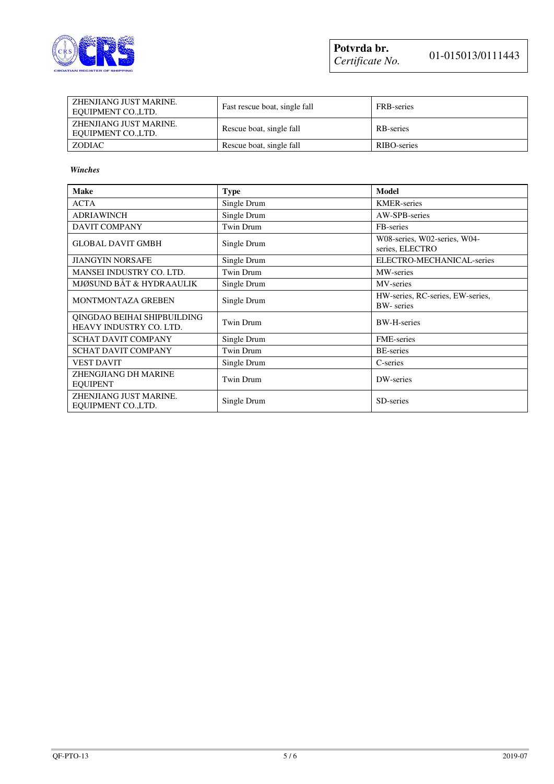

| ZHENJIANG JUST MARINE.<br>EQUIPMENT CO.,LTD. | Fast rescue boat, single fall | FRB-series  |
|----------------------------------------------|-------------------------------|-------------|
| ZHENJIANG JUST MARINE.<br>EQUIPMENT CO.,LTD. | Rescue boat, single fall      | RB-series   |
| <b>ZODIAC</b>                                | Rescue boat, single fall      | RIBO-series |

#### *Winches*

| <b>Make</b>                                            | <b>Type</b> | <b>Model</b>                                          |
|--------------------------------------------------------|-------------|-------------------------------------------------------|
| <b>ACTA</b>                                            | Single Drum | <b>KMER-series</b>                                    |
| <b>ADRIAWINCH</b>                                      | Single Drum | AW-SPB-series                                         |
| <b>DAVIT COMPANY</b>                                   | Twin Drum   | FB-series                                             |
| <b>GLOBAL DAVIT GMBH</b>                               | Single Drum | W08-series, W02-series, W04-<br>series, ELECTRO       |
| <b>JIANGYIN NORSAFE</b>                                | Single Drum | ELECTRO-MECHANICAL-series                             |
| MANSEI INDUSTRY CO. LTD.                               | Twin Drum   | MW-series                                             |
| MJØSUND BÅT & HYDRAAULIK                               | Single Drum | MV-series                                             |
| MONTMONTAZA GREBEN                                     | Single Drum | HW-series, RC-series, EW-series,<br><b>BW-</b> series |
| OINGDAO BEIHAI SHIPBUILDING<br>HEAVY INDUSTRY CO. LTD. | Twin Drum   | <b>BW-H-series</b>                                    |
| <b>SCHAT DAVIT COMPANY</b>                             | Single Drum | <b>FME-series</b>                                     |
| <b>SCHAT DAVIT COMPANY</b>                             | Twin Drum   | <b>BE-series</b>                                      |
| <b>VEST DAVIT</b>                                      | Single Drum | C-series                                              |
| ZHENGJIANG DH MARINE<br><b>EOUIPENT</b>                | Twin Drum   | DW-series                                             |
| ZHENJIANG JUST MARINE.<br>EQUIPMENT CO.,LTD.           | Single Drum | SD-series                                             |